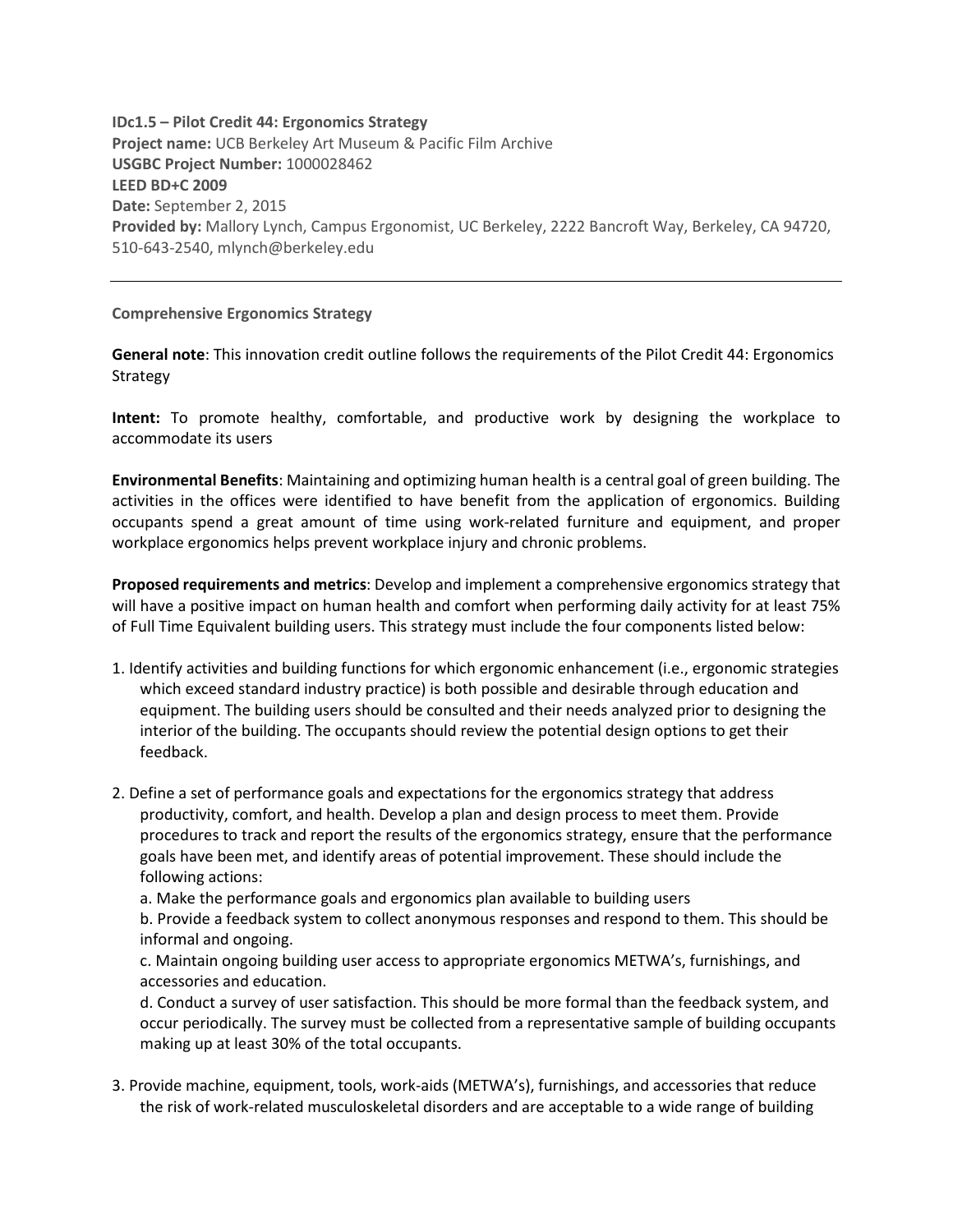**IDc1.5 – Pilot Credit 44: Ergonomics Strategy Project name:** UCB Berkeley Art Museum & Pacific Film Archive **USGBC Project Number:** 1000028462 **LEED BD+C 2009 Date:** September 2, 2015 **Provided by:** Mallory Lynch, Campus Ergonomist, UC Berkeley, 2222 Bancroft Way, Berkeley, CA 94720, 510-643-2540, mlynch@berkeley.edu

**Comprehensive Ergonomics Strategy**

**General note**: This innovation credit outline follows the requirements of the Pilot Credit 44: Ergonomics Strategy

**Intent:** To promote healthy, comfortable, and productive work by designing the workplace to accommodate its users

**Environmental Benefits**: Maintaining and optimizing human health is a central goal of green building. The activities in the offices were identified to have benefit from the application of ergonomics. Building occupants spend a great amount of time using work-related furniture and equipment, and proper workplace ergonomics helps prevent workplace injury and chronic problems.

**Proposed requirements and metrics**: Develop and implement a comprehensive ergonomics strategy that will have a positive impact on human health and comfort when performing daily activity for at least 75% of Full Time Equivalent building users. This strategy must include the four components listed below:

- 1. Identify activities and building functions for which ergonomic enhancement (i.e., ergonomic strategies which exceed standard industry practice) is both possible and desirable through education and equipment. The building users should be consulted and their needs analyzed prior to designing the interior of the building. The occupants should review the potential design options to get their feedback.
- 2. Define a set of performance goals and expectations for the ergonomics strategy that address productivity, comfort, and health. Develop a plan and design process to meet them. Provide procedures to track and report the results of the ergonomics strategy, ensure that the performance goals have been met, and identify areas of potential improvement. These should include the following actions:

a. Make the performance goals and ergonomics plan available to building users

b. Provide a feedback system to collect anonymous responses and respond to them. This should be informal and ongoing.

c. Maintain ongoing building user access to appropriate ergonomics METWA's, furnishings, and accessories and education.

d. Conduct a survey of user satisfaction. This should be more formal than the feedback system, and occur periodically. The survey must be collected from a representative sample of building occupants making up at least 30% of the total occupants.

3. Provide machine, equipment, tools, work-aids (METWA's), furnishings, and accessories that reduce the risk of work-related musculoskeletal disorders and are acceptable to a wide range of building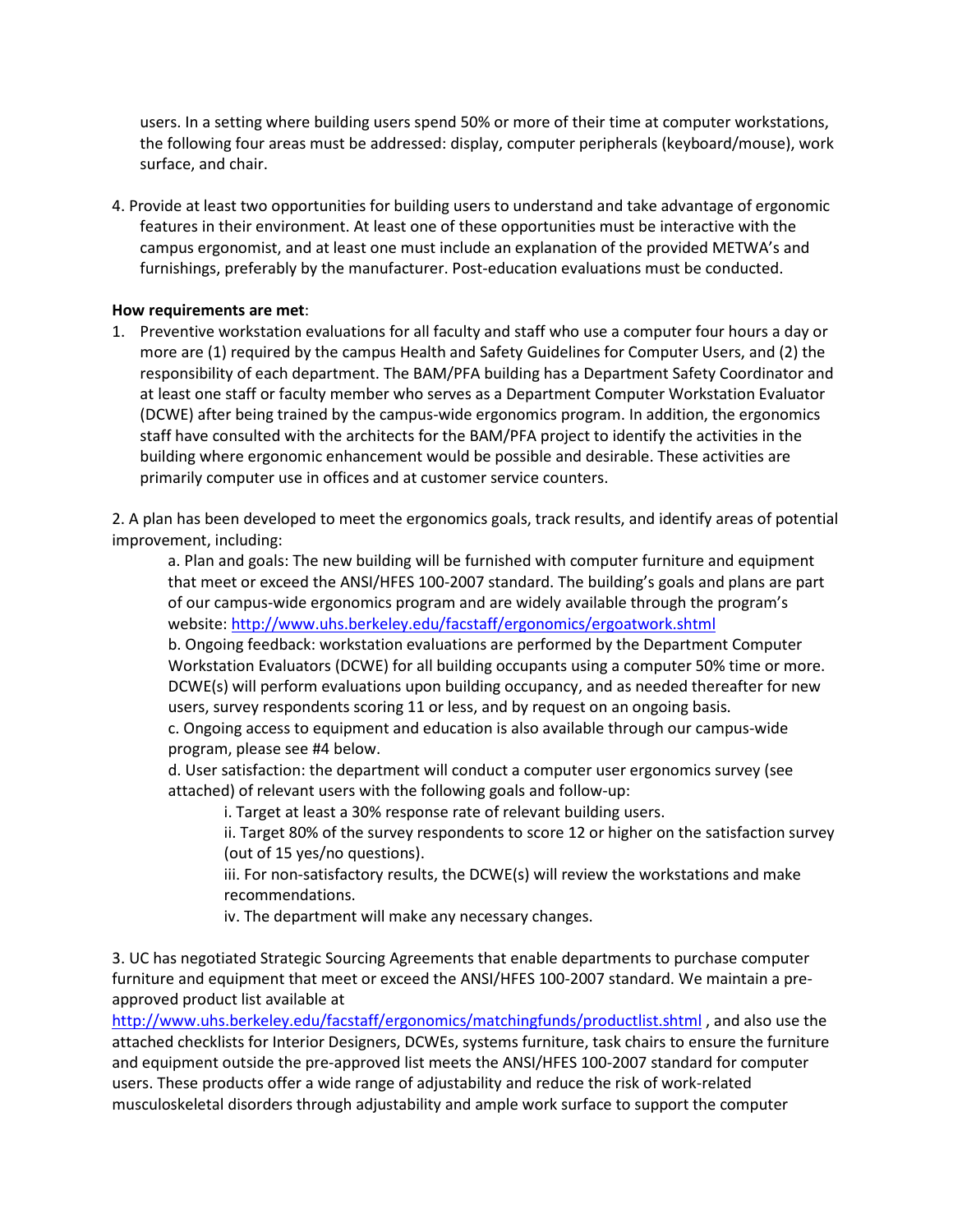users. In a setting where building users spend 50% or more of their time at computer workstations, the following four areas must be addressed: display, computer peripherals (keyboard/mouse), work surface, and chair.

4. Provide at least two opportunities for building users to understand and take advantage of ergonomic features in their environment. At least one of these opportunities must be interactive with the campus ergonomist, and at least one must include an explanation of the provided METWA's and furnishings, preferably by the manufacturer. Post-education evaluations must be conducted.

## **How requirements are met**:

1. Preventive workstation evaluations for all faculty and staff who use a computer four hours a day or more are (1) required by the campus Health and Safety Guidelines for Computer Users, and (2) the responsibility of each department. The BAM/PFA building has a Department Safety Coordinator and at least one staff or faculty member who serves as a Department Computer Workstation Evaluator (DCWE) after being trained by the campus-wide ergonomics program. In addition, the ergonomics staff have consulted with the architects for the BAM/PFA project to identify the activities in the building where ergonomic enhancement would be possible and desirable. These activities are primarily computer use in offices and at customer service counters.

2. A plan has been developed to meet the ergonomics goals, track results, and identify areas of potential improvement, including:

a. Plan and goals: The new building will be furnished with computer furniture and equipment that meet or exceed the ANSI/HFES 100-2007 standard. The building's goals and plans are part of our campus-wide ergonomics program and are widely available through the program's website[: http://www.uhs.berkeley.edu/facstaff/ergonomics/ergoatwork.shtml](http://www.uhs.berkeley.edu/facstaff/ergonomics/ergoatwork.shtml)

b. Ongoing feedback: workstation evaluations are performed by the Department Computer Workstation Evaluators (DCWE) for all building occupants using a computer 50% time or more. DCWE(s) will perform evaluations upon building occupancy, and as needed thereafter for new users, survey respondents scoring 11 or less, and by request on an ongoing basis.

c. Ongoing access to equipment and education is also available through our campus-wide program, please see #4 below.

d. User satisfaction: the department will conduct a computer user ergonomics survey (see attached) of relevant users with the following goals and follow-up:

i. Target at least a 30% response rate of relevant building users.

ii. Target 80% of the survey respondents to score 12 or higher on the satisfaction survey (out of 15 yes/no questions).

iii. For non-satisfactory results, the DCWE(s) will review the workstations and make recommendations.

iv. The department will make any necessary changes.

3. UC has negotiated Strategic Sourcing Agreements that enable departments to purchase computer furniture and equipment that meet or exceed the ANSI/HFES 100-2007 standard. We maintain a preapproved product list available at

<http://www.uhs.berkeley.edu/facstaff/ergonomics/matchingfunds/productlist.shtml> , and also use the attached checklists for Interior Designers, DCWEs, systems furniture, task chairs to ensure the furniture and equipment outside the pre-approved list meets the ANSI/HFES 100-2007 standard for computer users. These products offer a wide range of adjustability and reduce the risk of work-related musculoskeletal disorders through adjustability and ample work surface to support the computer